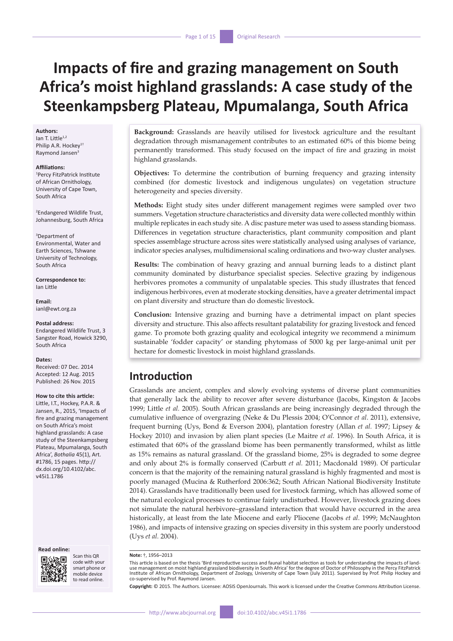# **Impacts of fire and grazing management on South Africa's moist highland grasslands: A case study of the Steenkampsberg Plateau, Mpumalanga, South Africa**

#### **Authors:**

Ian T. Little $1,2$ Philip A.R. Hockey<sup>1†</sup> Raymond Jansen<sup>3</sup>

#### **Affiliations:**

1 Percy FitzPatrick Institute of African Ornithology, University of Cape Town, South Africa

2 Endangered Wildlife Trust, Johannesburg, South Africa

3 Department of Environmental, Water and Earth Sciences, Tshwane University of Technology, South Africa

**Correspondence to:** Ian Little

**Email:** [ianl@ewt.org.za](mailto:ianl@ewt.org.za)

**Postal address:** Endangered Wildlife Trust, 3 Sangster Road, Howick 3290,

#### **Dates:**

South Africa

Received: 07 Dec. 2014 Accepted: 12 Aug. 2015 Published: 26 Nov. 2015

#### **How to cite this article:**

Little, I.T., Hockey, P.A.R. & Jansen, R., 2015, 'Impacts of fire and grazing management on South Africa's moist highland grasslands: A case study of the Steenkampsberg Plateau, Mpumalanga, South Africa', *Bothalia* 45(1), Art. #1786, 15 pages. [http://](http://dx.doi.org/10.4102/abc.v45i1.1786) [dx.doi.org/10.4102/abc.](http://dx.doi.org/10.4102/abc.v45i1.1786) [v45i1.1786](http://dx.doi.org/10.4102/abc.v45i1.1786)

#### **Read online:**



Scan this QR code with your smart phone or mobile device to read online.

**Background:** Grasslands are heavily utilised for livestock agriculture and the resultant degradation through mismanagement contributes to an estimated 60% of this biome being permanently transformed. This study focused on the impact of fire and grazing in moist highland grasslands.

**Objectives:** To determine the contribution of burning frequency and grazing intensity combined (for domestic livestock and indigenous ungulates) on vegetation structure heterogeneity and species diversity.

**Methods:** Eight study sites under different management regimes were sampled over two summers. Vegetation structure characteristics and diversity data were collected monthly within multiple replicates in each study site. A disc pasture meter was used to assess standing biomass. Differences in vegetation structure characteristics, plant community composition and plant species assemblage structure across sites were statistically analysed using analyses of variance, indicator species analyses, multidimensional scaling ordinations and two-way cluster analyses.

**Results:** The combination of heavy grazing and annual burning leads to a distinct plant community dominated by disturbance specialist species. Selective grazing by indigenous herbivores promotes a community of unpalatable species. This study illustrates that fenced indigenous herbivores, even at moderate stocking densities, have a greater detrimental impact on plant diversity and structure than do domestic livestock.

**Conclusion:** Intensive grazing and burning have a detrimental impact on plant species diversity and structure. This also affects resultant palatability for grazing livestock and fenced game. To promote both grazing quality and ecological integrity we recommend a minimum sustainable 'fodder capacity' or standing phytomass of 5000 kg per large-animal unit per hectare for domestic livestock in moist highland grasslands.

### **Introduction**

Grasslands are ancient, complex and slowly evolving systems of diverse plant communities that generally lack the ability to recover after severe disturbance (Jacobs, Kingston & Jacobs 1999; Little *et al.* 2005). South African grasslands are being increasingly degraded through the cumulative influence of overgrazing (Neke & Du Plessis 2004; O'Connor *et al*. 2011), extensive, frequent burning (Uys, Bond & Everson 2004), plantation forestry (Allan *et al.* 1997; Lipsey & Hockey 2010) and invasion by alien plant species (Le Maitre *et al.* 1996). In South Africa, it is estimated that 60% of the grassland biome has been permanently transformed, whilst as little as 15% remains as natural grassland. Of the grassland biome, 25% is degraded to some degree and only about 2% is formally conserved (Carbutt *et al.* 2011; Macdonald 1989). Of particular concern is that the majority of the remaining natural grassland is highly fragmented and most is poorly managed (Mucina & Rutherford 2006:362; South African National Biodiversity Institute 2014). Grasslands have traditionally been used for livestock farming, which has allowed some of the natural ecological processes to continue fairly undisturbed. However, livestock grazing does not simulate the natural herbivore–grassland interaction that would have occurred in the area historically, at least from the late Miocene and early Pliocene (Jacobs *et al*. 1999; McNaughton 1986), and impacts of intensive grazing on species diversity in this system are poorly understood (Uys *et al.* 2004).

This article is based on the thesis 'Bird reproductive success and faunal habitat selection as tools for understanding the impacts of landuse management on moist highland grassland biodiversity in South Africa' for the degree of Doctor of Philosophy in the Percy FitzPatrick Institute of African Ornithology, Department of Zoology, University of Cape Town (July 2011). Supervised by Prof. Philip Hockey and co-supervised by Prof. Raymond Jansen.

**Copyright:** © 2015. The Authors. Licensee: AOSIS OpenJournals. This work is licensed under the Creative Commons Attribution License.

**Note:** †, 1956–2013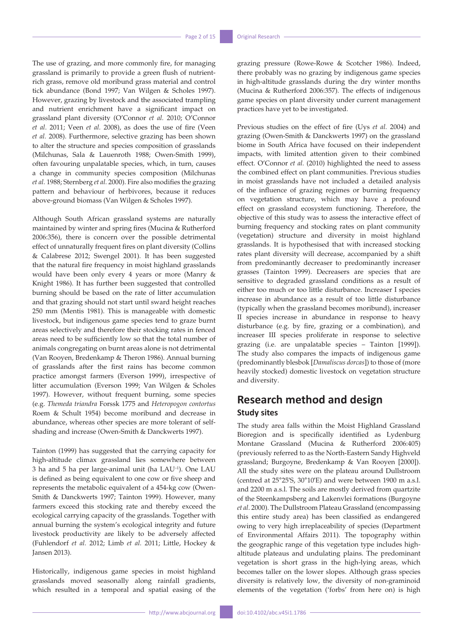The use of grazing, and more commonly fire, for managing grassland is primarily to provide a green flush of nutrientrich grass, remove old moribund grass material and control tick abundance (Bond 1997; Van Wilgen & Scholes 1997). However, grazing by livestock and the associated trampling and nutrient enrichment have a significant impact on grassland plant diversity (O'Connor *et al.* 2010; O'Connor *et al*. 2011; Veen *et al.* 2008), as does the use of fire (Veen *et al.* 2008). Furthermore, selective grazing has been shown to alter the structure and species composition of grasslands (Milchunas, Sala & Lauenroth 1988; Owen-Smith 1999), often favouring unpalatable species, which, in turn, causes a change in community species composition (Milchunas *et al.* 1988; Sternberg *et al.* 2000). Fire also modifies the grazing pattern and behaviour of herbivores, because it reduces above-ground biomass (Van Wilgen & Scholes 1997).

Although South African grassland systems are naturally maintained by winter and spring fires (Mucina & Rutherford 2006:356), there is concern over the possible detrimental effect of unnaturally frequent fires on plant diversity (Collins & Calabrese 2012; Swengel 2001). It has been suggested that the natural fire frequency in moist highland grasslands would have been only every 4 years or more (Manry & Knight 1986). It has further been suggested that controlled burning should be based on the rate of litter accumulation and that grazing should not start until sward height reaches 250 mm (Mentis 1981). This is manageable with domestic livestock, but indigenous game species tend to graze burnt areas selectively and therefore their stocking rates in fenced areas need to be sufficiently low so that the total number of animals congregating on burnt areas alone is not detrimental (Van Rooyen, Bredenkamp & Theron 1986). Annual burning of grasslands after the first rains has become common practice amongst farmers (Everson 1999), irrespective of litter accumulation (Everson 1999; Van Wilgen & Scholes 1997). However, without frequent burning, some species (e.g. *Themeda triandra* Forssk 1775 and *Heteropogon contortus* Roem & Schult 1954) become moribund and decrease in abundance, whereas other species are more tolerant of selfshading and increase (Owen-Smith & Danckwerts 1997).

Tainton (1999) has suggested that the carrying capacity for high-altitude climax grassland lies somewhere between 3 ha and 5 ha per large-animal unit (ha LAU–1). One LAU is defined as being equivalent to one cow or five sheep and represents the metabolic equivalent of a 454-kg cow (Owen-Smith & Danckwerts 1997; Tainton 1999). However, many farmers exceed this stocking rate and thereby exceed the ecological carrying capacity of the grasslands. Together with annual burning the system's ecological integrity and future livestock productivity are likely to be adversely affected (Fuhlendorf *et al.* 2012; Limb *et al.* 2011; Little, Hockey & Jansen 2013).

Historically, indigenous game species in moist highland grasslands moved seasonally along rainfall gradients, which resulted in a temporal and spatial easing of the

grazing pressure (Rowe-Rowe & Scotcher 1986). Indeed, there probably was no grazing by indigenous game species in high-altitude grasslands during the dry winter months (Mucina & Rutherford 2006:357). The effects of indigenous game species on plant diversity under current management practices have yet to be investigated.

Previous studies on the effect of fire (Uys *et al.* 2004) and grazing (Owen-Smith & Danckwerts 1997) on the grassland biome in South Africa have focused on their independent impacts, with limited attention given to their combined effect. O'Connor *et al.* (2010) highlighted the need to assess the combined effect on plant communities. Previous studies in moist grasslands have not included a detailed analysis of the influence of grazing regimes or burning frequency on vegetation structure, which may have a profound effect on grassland ecosystem functioning. Therefore, the objective of this study was to assess the interactive effect of burning frequency and stocking rates on plant community (vegetation) structure and diversity in moist highland grasslands. It is hypothesised that with increased stocking rates plant diversity will decrease, accompanied by a shift from predominantly decreaser to predominantly increaser grasses (Tainton 1999). Decreasers are species that are sensitive to degraded grassland conditions as a result of either too much or too little disturbance. Increaser I species increase in abundance as a result of too little disturbance (typically when the grassland becomes moribund), increaser II species increase in abundance in response to heavy disturbance (e.g. by fire, grazing or a combination), and increaser III species proliferate in response to selective grazing (i.e. are unpalatable species – Tainton [1999]). The study also compares the impacts of indigenous game (predominantly blesbok [*Damaliscus dorcas*]) to those of (more heavily stocked) domestic livestock on vegetation structure and diversity.

# **Research method and design Study sites**

The study area falls within the Moist Highland Grassland Bioregion and is specifically identified as Lydenburg Montane Grassland (Mucina & Rutherford 2006:405) (previously referred to as the North-Eastern Sandy Highveld grassland; Burgoyne, Bredenkamp & Van Rooyen [2000]). All the study sites were on the plateau around Dullstroom (centred at 25°25′S, 30°10′E) and were between 1900 m a.s.l. and 2200 m a.s.l. The soils are mostly derived from quartzite of the Steenkampsberg and Lakenvlei formations (Burgoyne *et al*. 2000). The Dullstroom Plateau Grassland (encompassing this entire study area) has been classified as endangered owing to very high irreplaceability of species (Department of Environmental Affairs 2011). The topography within the geographic range of this vegetation type includes highaltitude plateaus and undulating plains. The predominant vegetation is short grass in the high-lying areas, which becomes taller on the lower slopes. Although grass species diversity is relatively low, the diversity of non-graminoid elements of the vegetation ('forbs' from here on) is high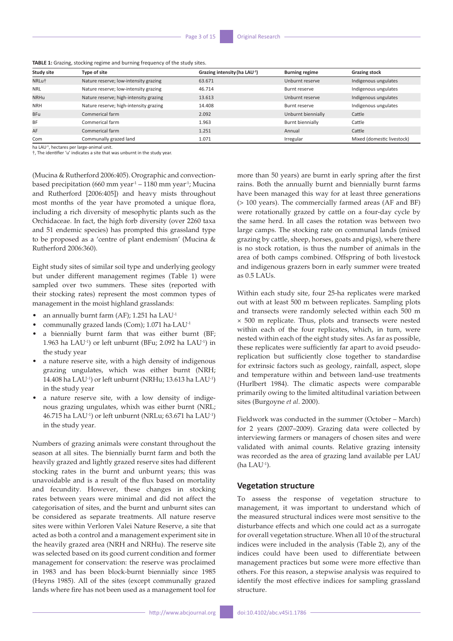| <b>Study site</b> | Type of site                           | Grazing intensity (ha LAU <sup>-1</sup> ) | <b>Burning regime</b> | <b>Grazing stock</b>       |
|-------------------|----------------------------------------|-------------------------------------------|-----------------------|----------------------------|
| NRLu <sup>+</sup> | Nature reserve; low-intensity grazing  | 63.671                                    | Unburnt reserve       | Indigenous ungulates       |
| <b>NRL</b>        | Nature reserve; low-intensity grazing  | 46.714                                    | Burnt reserve         | Indigenous ungulates       |
| <b>NRHu</b>       | Nature reserve; high-intensity grazing | 13.613                                    | Unburnt reserve       | Indigenous ungulates       |
| <b>NRH</b>        | Nature reserve; high-intensity grazing | 14.408                                    | Burnt reserve         | Indigenous ungulates       |
| <b>BFu</b>        | Commerical farm                        | 2.092                                     | Unburnt biennially    | Cattle                     |
| <b>BF</b>         | Commerical farm                        | 1.963                                     | Burnt biennially      | Cattle                     |
| AF                | Commerical farm                        | 1.251                                     | Annual                | Cattle                     |
| Com               | Communally grazed land                 | 1.071                                     | Irregular             | Mixed (domestic livestock) |

**TABLE 1:** Grazing, stocking regime and burning frequency of the study sites.

ha LAU<sup>-1</sup>, hectares per large-animal unit.

†, The identifier 'u' indicates a site that was unburnt in the study year.

(Mucina & Rutherford 2006:405). Orographic and convectionbased precipitation (660 mm year<sup>-1</sup> – 1180 mm year<sup>-1</sup>; Mucina and Rutherford [2006:405]) and heavy mists throughout most months of the year have promoted a unique flora, including a rich diversity of mesophytic plants such as the Orchidaceae. In fact, the high forb diversity (over 2260 taxa and 51 endemic species) has prompted this grassland type to be proposed as a 'centre of plant endemism' (Mucina & Rutherford 2006:360).

Eight study sites of similar soil type and underlying geology but under different management regimes (Table 1) were sampled over two summers. These sites (reported with their stocking rates) represent the most common types of management in the moist highland grasslands:

- an annually burnt farm (AF); 1.251 ha LAU-1
- communally grazed lands (Com); 1.071 ha∙LAU-1
- a biennially burnt farm that was either burnt (BF; 1.963 ha LAU-1) or left unburnt (BFu; 2.092 ha LAU-1) in the study year
- a nature reserve site, with a high density of indigenous grazing ungulates, which was either burnt (NRH; 14.408 ha LAU-1) or left unburnt (NRHu; 13.613 ha LAU-1) in the study year
- a nature reserve site, with a low density of indigenous grazing ungulates, whixh was either burnt (NRL; 46.715 ha LAU-1) or left unburnt (NRLu; 63.671 ha LAU-1) in the study year.

Numbers of grazing animals were constant throughout the season at all sites. The biennially burnt farm and both the heavily grazed and lightly grazed reserve sites had different stocking rates in the burnt and unburnt years; this was unavoidable and is a result of the flux based on mortality and fecundity. However, these changes in stocking rates between years were minimal and did not affect the categorisation of sites, and the burnt and unburnt sites can be considered as separate treatments. All nature reserve sites were within Verloren Valei Nature Reserve, a site that acted as both a control and a management experiment site in the heavily grazed area (NRH and NRHu). The reserve site was selected based on its good current condition and former management for conservation: the reserve was proclaimed in 1983 and has been block-burnt biennially since 1985 (Heyns 1985). All of the sites (except communally grazed lands where fire has not been used as a management tool for

more than 50 years) are burnt in early spring after the first rains. Both the annually burnt and biennially burnt farms have been managed this way for at least three generations (> 100 years). The commercially farmed areas (AF and BF) were rotationally grazed by cattle on a four-day cycle by the same herd. In all cases the rotation was between two large camps. The stocking rate on communal lands (mixed grazing by cattle, sheep, horses, goats and pigs), where there is no stock rotation, is thus the number of animals in the area of both camps combined. Offspring of both livestock and indigenous grazers born in early summer were treated as 0.5 LAUs.

Within each study site, four 25-ha replicates were marked out with at least 500 m between replicates. Sampling plots and transects were randomly selected within each 500 m × 500 m replicate. Thus, plots and transects were nested within each of the four replicates, which, in turn, were nested within each of the eight study sites. As far as possible, these replicates were sufficiently far apart to avoid pseudoreplication but sufficiently close together to standardise for extrinsic factors such as geology, rainfall, aspect, slope and temperature within and between land-use treatments (Hurlbert 1984). The climatic aspects were comparable primarily owing to the limited altitudinal variation between sites (Burgoyne *et al*. 2000).

Fieldwork was conducted in the summer (October – March) for 2 years (2007–2009). Grazing data were collected by interviewing farmers or managers of chosen sites and were validated with animal counts. Relative grazing intensity was recorded as the area of grazing land available per LAU  $(ha$  LAU<sup>-1</sup>).

### **Vegetation structure**

To assess the response of vegetation structure to management, it was important to understand which of the measured structural indices were most sensitive to the disturbance effects and which one could act as a surrogate for overall vegetation structure. When all 10 of the structural indices were included in the analysis (Table 2), any of the indices could have been used to differentiate between management practices but some were more effective than others. For this reason, a stepwise analysis was required to identify the most effective indices for sampling grassland structure.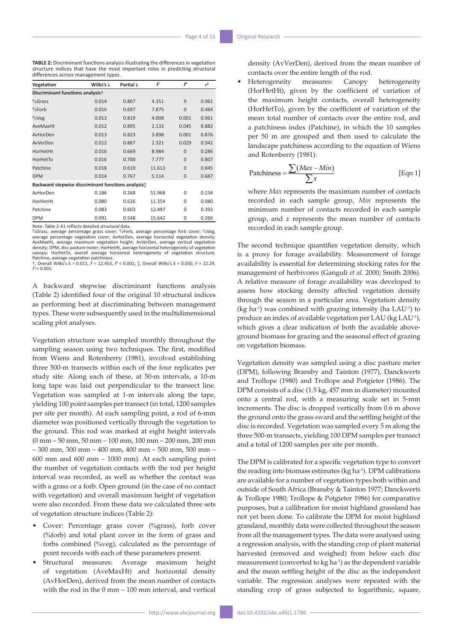**TABLE 2:** Discriminant functions analysis illustrating the differences in vegetation structure indices that have the most important roles in predicting structural differences across management types.

| Vegetation                                         | Wilks's $\lambda$ | Partial $\lambda$ | F      | P              | $r^2$ |
|----------------------------------------------------|-------------------|-------------------|--------|----------------|-------|
| Discriminant functions analysist                   |                   |                   |        |                |       |
| $%$ Grass                                          | 0.014             | 0.807             | 4.351  | $\Omega$       | 0.961 |
| %Forb                                              | 0.016             | 0.697             | 7.875  | $\Omega$       | 0.464 |
| $\%$ Veg                                           | 0.013             | 0.819             | 4.008  | 0.001          | 0.961 |
| AveMaxHt                                           | 0.012             | 0.895             | 2.133  | 0.045          | 0.882 |
| AvHorDen                                           | 0.013             | 0.823             | 3.898  | 0.001          | 0.876 |
| AvVerDen                                           | 0.012             | 0.887             | 2.321  | 0.029          | 0.942 |
| HorHetHt                                           | 0.016             | 0.669             | 8.984  | $\overline{0}$ | 0.286 |
| HorHetTo                                           | 0.016             | 0.700             | 7.777  | $\Omega$       | 0.807 |
| Patchine                                           | 0.018             | 0.610             | 11.613 | $\mathbf{0}$   | 0.845 |
| <b>DPM</b>                                         | 0.014             | 0.767             | 5.514  | $\mathbf{0}$   | 0.687 |
| Backward stepwise discriminant functions analysis: |                   |                   |        |                |       |
| AvHorDen                                           | 0.186             | 0.268             | 51.968 | $\Omega$       | 0.234 |
| HorHetHt                                           | 0.080             | 0.626             | 11.354 | $\Omega$       | 0.080 |
| Patchine                                           | 0.083             | 0.603             | 12.497 | $\Omega$       | 0.392 |
| <b>DPM</b>                                         | 0.091             | 0.548             | 15.642 | 0              | 0.266 |

Note: Table 2-A1 reflects detailed structural data. %Grass, average percentage grass cover; %Forb, average percentage forb cover; %Veg, average percentage vegetation cover; AvHorDen, average horizontal vegetation density;<br>AveMaxHt, average maximum vegetation height; AvVerDen, average vertical vegetation<br>density; DPM, disc pasture meter; HorHetHt, average h canopy; HorHetTo, overall average horizontal heterogeneity of vegetation structure; Patchine, average vegetation patchiness.

†, Overall Wilks's λ = 0.011, *F* = 12.453, *P* < 0.001; ‡, Overall Wilks's λ = 0.050, *F* = 22.29, *P* < 0.001.

A backward stepwise discriminant functions analysis (Table 2) identified four of the original 10 structural indices as performing best at discriminating between management types. These were subsequently used in the multidimensional scaling plot analyses.

Vegetation structure was sampled monthly throughout the sampling season using two techniques. The first, modified from Wiens and Rotenberry (1981), involved establishing three 500-m transects within each of the four replicates per study site. Along each of these, at 50-m intervals, a 10-m long tape was laid out perpendicular to the transect line. Vegetation was sampled at 1-m intervals along the tape, yielding 100 point samples per transect (in total, 1200 samples per site per month). At each sampling point, a rod of 6-mm diameter was positioned vertically through the vegetation to the ground. This rod was marked at eight height intervals (0 mm – 50 mm, 50 mm – 100 mm, 100 mm – 200 mm, 200 mm – 300 mm, 300 mm – 400 mm, 400 mm – 500 mm, 500 mm – 600 mm and 600 mm – 1000 mm). At each sampling point the number of vegetation contacts with the rod per height interval was recorded, as well as whether the contact was with a grass or a forb. Open ground (in the case of no contact with vegetation) and overall maximum height of vegetation were also recorded. From these data we calculated three sets of vegetation structure indices (Table 2):

- Cover: Percentage grass cover (%grass), forb cover (%forb) and total plant cover in the form of grass and forbs combined (%veg), calculated as the percentage of point records with each of these parameters present.
- Structural measures: Average maximum height of vegetation (AveMaxHt) and horizontal density (AvHorDen), derived from the mean number of contacts with the rod in the 0 mm – 100 mm interval, and vertical

density (AvVerDen), derived from the mean number of contacts over the entire length of the rod.

• Heterogeneity measures: Canopy heterogeneity (HorHetHt), given by the coefficient of variation of the maximum height contacts, overall heterogeneity (HorHetTo), given by the coefficient of variation of the mean total number of contacts over the entire rod, and a patchiness index (Patchine), in which the 10 samples per 50 m are grouped and then used to calculate the landscape patchiness according to the equation of Wiens and Rotenberry (1981):

$$
Patchiness = \frac{\sum (Max - Min)}{\sum x}
$$
 [Eqn 1]

where *Max* represents the maximum number of contacts recorded in each sample group, *Min* represents the minimum number of contacts recorded in each sample group, and *x* represents the mean number of contacts recorded in each sample group.

The second technique quantifies vegetation density, which is a proxy for forage availability. Measurement of forage availability is essential for determining stocking rates for the management of herbivores (Ganguli *et al.* 2000; Smith 2006). A relative measure of forage availability was developed to assess how stocking density affected vegetation density through the season in a particular area. Vegetation density  $(kg ha<sup>-1</sup>)$  was combined with grazing intensity (ha  $LAU<sup>-1</sup>$ ) to produce an index of available vegetation per LAU (kg LAU-1), which gives a clear indication of both the available aboveground biomass for grazing and the seasonal effect of grazing on vegetation biomass.

Vegetation density was sampled using a disc pasture meter (DPM), following Bransby and Tainton (1977), Danckwerts and Trollope (1980) and Trollope and Potgieter (1986). The DPM consists of a disc (1.5 kg, 457 mm in diameter) mounted onto a central rod, with a measuring scale set in 5-mm increments. The disc is dropped vertically from 0.6 m above the ground onto the grass sward and the settling height of the disc is recorded. Vegetation was sampled every 5 m along the three 500-m transects, yielding 100 DPM samples per transect and a total of 1200 samples per site per month.

The DPM is calibrated for a specific vegetation type to convert the reading into biomass estimates (kg ha-1). DPM calibrations are available for a number of vegetation types both within and outside of South Africa (Bransby & Tainton 1977; Danckwerts & Trollope 1980; Trollope & Potgieter 1986) for comparative purposes, but a callibration for moist highland grassland has not yet been done. To calibrate the DPM for moist highland grassland, monthly data were collected throughout the season from all the management types. The data were analysed using a regression analysis, with the standing crop of plant material harvested (removed and weighed) from below each disc measurement (converted to kg ha<sup>-1</sup>) as the dependent variable and the mean settling height of the disc as the independent variable. The regression analyses were repeated with the standing crop of grass subjected to logarithmic, square,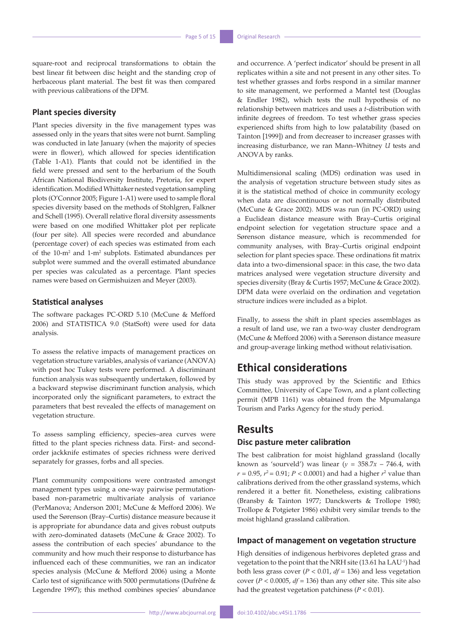square-root and reciprocal transformations to obtain the best linear fit between disc height and the standing crop of herbaceous plant material. The best fit was then compared with previous calibrations of the DPM.

### **Plant species diversity**

Plant species diversity in the five management types was assessed only in the years that sites were not burnt. Sampling was conducted in late January (when the majority of species were in flower), which allowed for species identification (Table 1-A1). Plants that could not be identified in the field were pressed and sent to the herbarium of the South African National Biodiversity Institute, Pretoria, for expert identification. Modified Whittaker nested vegetation sampling plots (O'Connor 2005; Figure 1-A1) were used to sample floral species diversity based on the methods of Stohlgren, Falkner and Schell (1995). Overall relative floral diversity assessments were based on one modified Whittaker plot per replicate (four per site). All species were recorded and abundance (percentage cover) of each species was estimated from each of the 10-m<sup>2</sup> and 1-m<sup>2</sup> subplots. Estimated abundances per subplot were summed and the overall estimated abundance per species was calculated as a percentage. Plant species names were based on Germishuizen and Meyer (2003).

### **Statistical analyses**

The software packages PC-ORD 5.10 (McCune & Mefford 2006) and STATISTICA 9.0 (StatSoft) were used for data analysis.

To assess the relative impacts of management practices on vegetation structure variables, analysis of variance (ANOVA) with post hoc Tukey tests were performed. A discriminant function analysis was subsequently undertaken, followed by a backward stepwise discriminant function analysis, which incorporated only the significant parameters, to extract the parameters that best revealed the effects of management on vegetation structure.

To assess sampling efficiency, species–area curves were fitted to the plant species richness data. First- and secondorder jackknife estimates of species richness were derived separately for grasses, forbs and all species.

Plant community compositions were contrasted amongst management types using a one-way pairwise permutationbased non-parametric multivariate analysis of variance (PerManova; Anderson 2001; McCune & Mefford 2006). We used the Sørenson (Bray–Curtis) distance measure because it is appropriate for abundance data and gives robust outputs with zero-dominated datasets (McCune & Grace 2002). To assess the contribution of each species' abundance to the community and how much their response to disturbance has influenced each of these communities, we ran an indicator species analysis (McCune & Mefford 2006) using a Monte Carlo test of significance with 5000 permutations (Dufrêne & Legendre 1997); this method combines species' abundance and occurrence. A 'perfect indicator' should be present in all replicates within a site and not present in any other sites. To test whether grasses and forbs respond in a similar manner to site management, we performed a Mantel test (Douglas & Endler 1982), which tests the null hypothesis of no relationship between matrices and uses a *t*-distribution with infinite degrees of freedom. To test whether grass species experienced shifts from high to low palatability (based on Tainton [1999]) and from decreaser to increaser grasses with increasing disturbance, we ran Mann–Whitney *U* tests and ANOVA by ranks.

Multidimensional scaling (MDS) ordination was used in the analysis of vegetation structure between study sites as it is the statistical method of choice in community ecology when data are discontinuous or not normally distributed (McCune & Grace 2002). MDS was run (in PC-ORD) using a Euclidean distance measure with Bray–Curtis original endpoint selection for vegetation structure space and a Sørenson distance measure, which is recommended for community analyses, with Bray–Curtis original endpoint selection for plant species space. These ordinations fit matrix data into a two-dimensional space: in this case, the two data matrices analysed were vegetation structure diversity and species diversity (Bray & Curtis 1957; McCune & Grace 2002). DPM data were overlaid on the ordination and vegetation structure indices were included as a biplot.

Finally, to assess the shift in plant species assemblages as a result of land use, we ran a two-way cluster dendrogram (McCune & Mefford 2006) with a Sørenson distance measure and group-average linking method without relativisation.

# **Ethical considerations**

This study was approved by the Scientific and Ethics Committee, University of Cape Town, and a plant collecting permit (MPB 1161) was obtained from the Mpumalanga Tourism and Parks Agency for the study period.

### **Results**

### **Disc pasture meter calibration**

The best calibration for moist highland grassland (locally known as 'sourveld') was linear ( $y = 358.7x - 746.4$ , with  $r = 0.95$ ,  $r^2 = 0.91$ ;  $P < 0.0001$ ) and had a higher  $r^2$  value than calibrations derived from the other grassland systems, which rendered it a better fit. Nonetheless, existing calibrations (Bransby & Tainton 1977; Danckwerts & Trollope 1980; Trollope & Potgieter 1986) exhibit very similar trends to the moist highland grassland calibration.

### **Impact of management on vegetation structure**

High densities of indigenous herbivores depleted grass and vegetation to the point that the NRH site (13.61 ha LAU-1) had both less grass cover ( $P < 0.01$ ,  $df = 136$ ) and less vegetation cover ( $P < 0.0005$ ,  $df = 136$ ) than any other site. This site also had the greatest vegetation patchiness  $(P < 0.01)$ .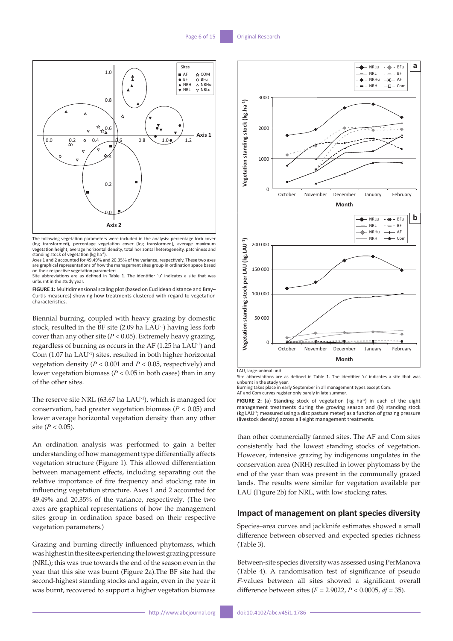

The following vegetation parameters were included in the analysis: percentage forb cover (log transformed), percentage vegetation cover (log transformed), average maximum vegetation height, average horizontal density, total horizontal heterogeneity, patchiness and standing stock of vegetation (kg ha-1).

Axes 1 and 2 accounted for 49.49% and 20.35% of the variance, respectively. These two axes are graphical representations of how the management sites group in ordination space based

on their respective vegetation parameters. Site abbreviations are as defined in Table 1. The identifier 'u' indicates a site that was unburnt in the study year.

**FIGURE 1:** Multidimensional scaling plot (based on Euclidean distance and Bray– Curtis measures) showing how treatments clustered with regard to vegetation characteristics.

Biennial burning, coupled with heavy grazing by domestic stock, resulted in the BF site (2.09 ha LAU-1) having less forb cover than any other site (*P* < 0.05). Extremely heavy grazing, regardless of burning as occurs in the AF (1.25 ha LAU-1) and Com (1.07 ha LAU-1) sites, resulted in both higher horizontal vegetation density (*P* < 0.001 and *P* < 0.05, respectively) and lower vegetation biomass (*P* < 0.05 in both cases) than in any of the other sites.

The reserve site NRL (63.67 ha LAU<sup>-1</sup>), which is managed for conservation, had greater vegetation biomass (*P* < 0.05) and lower average horizontal vegetation density than any other site  $(P < 0.05)$ .

An ordination analysis was performed to gain a better understanding of how management type differentially affects vegetation structure (Figure 1). This allowed differentiation between management effects, including separating out the relative importance of fire frequency and stocking rate in influencing vegetation structure. Axes 1 and 2 accounted for 49.49% and 20.35% of the variance, respectively. (The two axes are graphical representations of how the management sites group in ordination space based on their respective vegetation parameters.)

Grazing and burning directly influenced phytomass, which was highest in the site experiencing the lowest grazing pressure (NRL); this was true towards the end of the season even in the year that this site was burnt (Figure 2a).The BF site had the second-highest standing stocks and again, even in the year it was burnt, recovered to support a higher vegetation biomass



LAU, large-animal unit.

Site abbreviations are as defined in Table 1. The identifier 'u' indicates a site that was unburnt in the study year.

Burning takes place in early September in all management types except Com. AF and Com curves register only barely in late summer.

FIGURE 2: (a) Standing stock of vegetation (kg ha<sup>-1</sup>) in each of the eight management treatments during the growing season and (b) standing stock (kg LAU-1; measured using a disc pasture meter) as a function of grazing pressure (livestock density) across all eight management treatments.

than other commercially farmed sites. The AF and Com sites consistently had the lowest standing stocks of vegetation. However, intensive grazing by indigenous ungulates in the conservation area (NRH) resulted in lower phytomass by the end of the year than was present in the communally grazed lands. The results were similar for vegetation available per LAU (Figure 2b) for NRL, with low stocking rates.

#### **Impact of management on plant species diversity**

Species–area curves and jackknife estimates showed a small difference between observed and expected species richness (Table 3).

Between-site species diversity was assessed using PerManova (Table 4). A randomisation test of significance of pseudo *F*-values between all sites showed a significant overall difference between sites (*F* = 2.9022, *P* < 0.0005, *df* = 35).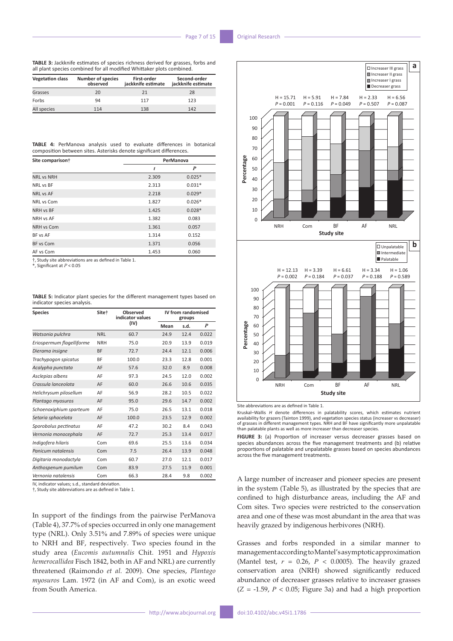**TABLE 3:** Jackknife estimates of species richness derived for grasses, forbs and all plant species combined for all modified Whittaker plots combined.

| <b>Vegetation class</b> | <b>Number of species</b><br>observed | First-order<br>jackknife estimate | Second-order<br>jackknife estimate |
|-------------------------|--------------------------------------|-----------------------------------|------------------------------------|
| Grasses                 | 20                                   | 21                                | 28                                 |
| Forbs                   | 94                                   | 117                               | 123                                |
| All species             | 114                                  | 138                               | 142                                |

|  | <b>TABLE 4:</b> PerManova analysis used to evaluate differences in botanical |  |  |  |  |
|--|------------------------------------------------------------------------------|--|--|--|--|
|  | composition between sites. Asterisks denote significant differences.         |  |  |  |  |

| Site comparison†  | PerManova |          |  |  |
|-------------------|-----------|----------|--|--|
|                   | t         | P        |  |  |
| <b>NRL vs NRH</b> | 2.309     | $0.025*$ |  |  |
| NRL vs BF         | 2.313     | $0.031*$ |  |  |
| <b>NRL vs AF</b>  | 2.218     | $0.029*$ |  |  |
| NRL vs Com        | 1.827     | $0.026*$ |  |  |
| NRH vs BF         | 1.425     | $0.028*$ |  |  |
| NRH vs AF         | 1.382     | 0.083    |  |  |
| NRH vs Com        | 1.361     | 0.057    |  |  |
| BF vs AF          | 1.314     | 0.152    |  |  |
| BF vs Com         | 1.371     | 0.056    |  |  |
| AF vs Com         | 1.453     | 0.060    |  |  |

†, Study site abbreviations are as defined in Table 1.

\*, Significant at *P* < 0.05

**TABLE 5:** Indicator plant species for the different management types based on indicator species analysis.

| <b>Species</b>            | Site <sup>+</sup> | Observed<br>indicator values | IV from randomised<br>groups |      |       |  |
|---------------------------|-------------------|------------------------------|------------------------------|------|-------|--|
|                           |                   | (IV)                         | Mean                         | s.d. | P     |  |
| Watsonia pulchra          | <b>NRL</b>        | 60.7                         | 24.9                         | 12.4 | 0.022 |  |
| Eriospermum flagelliforme | <b>NRH</b>        | 75.0                         | 20.9                         | 13.9 | 0.019 |  |
| Dierama insigne           | <b>BF</b>         | 72.7                         | 24.4                         | 12.1 | 0.006 |  |
| Trachypogon spicatus      | BF                | 100.0                        | 23.3                         | 12.8 | 0.001 |  |
| Acalypha punctata         | AF                | 57.6                         | 32.0                         | 8.9  | 0.008 |  |
| Asclepias albens          | AF                | 97.3                         | 24.5                         | 12.0 | 0.002 |  |
| Crassula lanceolata       | AF                | 60.0                         | 26.6                         | 10.6 | 0.035 |  |
| Helichrysum pilosellum    | AF                | 56.9                         | 28.2                         | 10.5 | 0.022 |  |
| Plantago myosuros         | AF                | 95.0                         | 29.6                         | 14.7 | 0.002 |  |
| Schoenoxiphium sparteum   | AF                | 75.0                         | 26.5                         | 13.1 | 0.018 |  |
| Setaria sphacelata        | AF                | 100.0                        | 23.5                         | 12.9 | 0.002 |  |
| Sporobolus pectinatus     | AF                | 47.2                         | 30.2                         | 8.4  | 0.043 |  |
| Vernonia monocephala      | AF                | 72.7                         | 25.3                         | 13.4 | 0.017 |  |
| Indigofera hilaris        | Com               | 69.6                         | 25.5                         | 13.6 | 0.034 |  |
| Panicum natalensis        | Com               | 7.5                          | 26.4                         | 13.9 | 0.048 |  |
| Digitaria monodactyla     | Com               | 60.7                         | 27.0                         | 12.1 | 0.017 |  |
| Anthospenum pumilum       | Com               | 83.9                         | 27.5                         | 11.9 | 0.001 |  |
| Vernonia natalensis       | Com               | 66.3                         | 28.4                         | 9.8  | 0.002 |  |

IV, indicator values; s.d., standard deviation.

†, Study site abbreviations are as defined in Table 1.

In support of the findings from the pairwise PerManova (Table 4), 37.7% of species occurred in only one management type (NRL). Only 3.51% and 7.89% of species were unique to NRH and BF, respectively. Two species found in the study area (*Eucomis autumnalis* Chit. 1951 and *Hypoxis hemerocallidea* Fisch 1842, both in AF and NRL) are currently threatened (Raimondo *et al.* 2009). One species, *Plantago myosuros* Lam. 1972 (in AF and Com), is an exotic weed from South America.



Site abbreviations are as defined in Table 1.

Kruskal–Wallis *H* denote differences in palatability scores, which estimates nutrient availability for grazers (Tainton 1999), and vegetation species status (increaser vs decreaser) of grasses in different management types. NRH and BF have significantly more unpalatable than palatable plants as well as more increaser than decreaser species.

NRH Com BF AF NRL

**Study site**

**FIGURE 3:** (a) Proportion of increaser versus decreaser grasses based on species abundances across the five management treatments and (b) relative proportions of palatable and unpalatable grasses based on species abundances across the five management treatments.

A large number of increaser and pioneer species are present in the system (Table 5), as illustrated by the species that are confined to high disturbance areas, including the AF and Com sites. Two species were restricted to the conservation area and one of these was most abundant in the area that was heavily grazed by indigenous herbivores (NRH).

Grasses and forbs responded in a similar manner to management according to Mantel's asymptotic approximation (Mantel test,  $r = 0.26$ ,  $P < 0.0005$ ). The heavily grazed conservation area (NRH) showed significantly reduced abundance of decreaser grasses relative to increaser grasses  $(Z = -1.59, P < 0.05$ ; Figure 3a) and had a high proportion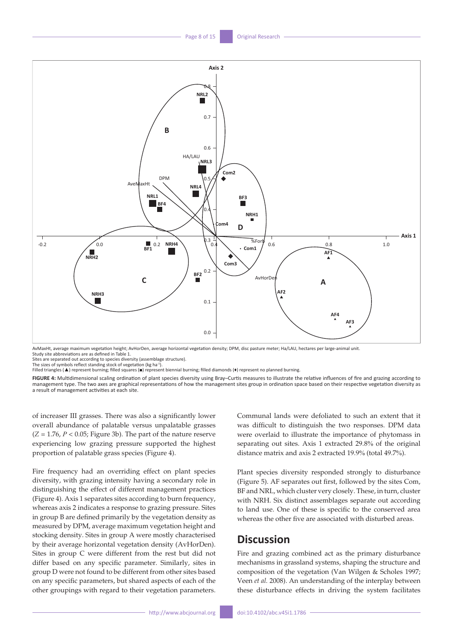

AvMaxHt, average maximum vegetation height; AvHorDen, average horizontal vegetation density; DPM, disc pasture meter; Ha/LAU, hectares per large-animal unit. Study site abbreviations are as defined in Table 1.

Sites are separated out according to species diversity (assemblage structure).

The sizes of symbols reflect standing stock of vegetation (kg ha-1).<br>Filled triangles (▲) represent burning; filled squares (■) represent biennial burning; filled diamonds (♦) represent no planned burning.

**FIGURE 4:** Multidimensional scaling ordination of plant species diversity using Bray–Curtis measures to illustrate the relative influences of fire and grazing according to management type. The two axes are graphical representations of how the management sites group in ordination space based on their respective vegetation diversity as a result of management activities at each site.

of increaser III grasses. There was also a significantly lower overall abundance of palatable versus unpalatable grasses  $(Z = 1.76, P < 0.05;$  Figure 3b). The part of the nature reserve experiencing low grazing pressure supported the highest proportion of palatable grass species (Figure 4).

Fire frequency had an overriding effect on plant species diversity, with grazing intensity having a secondary role in distinguishing the effect of different management practices (Figure 4). Axis 1 separates sites according to burn frequency, whereas axis 2 indicates a response to grazing pressure. Sites in group B are defined primarily by the vegetation density as measured by DPM, average maximum vegetation height and stocking density. Sites in group A were mostly characterised by their average horizontal vegetation density (AvHorDen). Sites in group C were different from the rest but did not differ based on any specific parameter. Similarly, sites in group D were not found to be different from other sites based on any specific parameters, but shared aspects of each of the other groupings with regard to their vegetation parameters.

Communal lands were defoliated to such an extent that it was difficult to distinguish the two responses. DPM data were overlaid to illustrate the importance of phytomass in separating out sites. Axis 1 extracted 29.8% of the original distance matrix and axis 2 extracted 19.9% (total 49.7%).

Plant species diversity responded strongly to disturbance (Figure 5). AF separates out first, followed by the sites Com, BF and NRL, which cluster very closely. These, in turn, cluster with NRH. Six distinct assemblages separate out according to land use. One of these is specific to the conserved area whereas the other five are associated with disturbed areas.

# **Discussion**

Fire and grazing combined act as the primary disturbance mechanisms in grassland systems, shaping the structure and composition of the vegetation (Van Wilgen & Scholes 1997; Veen *et al.* 2008). An understanding of the interplay between these disturbance effects in driving the system facilitates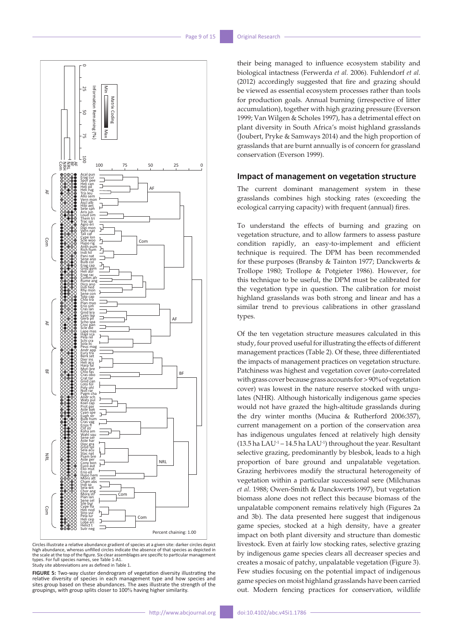

Circles illustrate a relative abundance gradient of species at a given site: darker circles depict high abundance, whereas unfilled circles indicate the absence of that species as depicted in the scale at the top of the figure. Six clear assemblages are specific to particular management types. For full species names, see Table 1-A1.

Study site abbreviations are as defined in Table 1.

**FIGURE 5:** Two-way cluster dendrogram of vegetation diversity illustrating the relative diversity of species in each management type and how species and sites group based on these abundances. The axes illustrate the strength of the group states on these documents are the three measurements group splits closer to 100% having higher similarity.

their being managed to influence ecosystem stability and biological intactness (Ferwerda *et al.* 2006). Fuhlendorf *et al.* (2012) accordingly suggested that fire and grazing should be viewed as essential ecosystem processes rather than tools for production goals. Annual burning (irrespective of litter accumulation), together with high grazing pressure (Everson 1999; Van Wilgen & Scholes 1997), has a detrimental effect on plant diversity in South Africa's moist highland grasslands (Joubert, Pryke & Samways 2014) and the high proportion of grasslands that are burnt annually is of concern for grassland conservation (Everson 1999).

#### **Impact of management on vegetation structure**

The current dominant management system in these grasslands combines high stocking rates (exceeding the ecological carrying capacity) with frequent (annual) fires.

To understand the effects of burning and grazing on vegetation structure, and to allow farmers to assess pasture condition rapidly, an easy-to-implement and efficient technique is required. The DPM has been recommended for these purposes (Bransby & Tainton 1977; Danckwerts & Trollope 1980; Trollope & Potgieter 1986). However, for this technique to be useful, the DPM must be calibrated for the vegetation type in question. The calibration for moist highland grasslands was both strong and linear and has a similar trend to previous calibrations in other grassland types.

Of the ten vegetation structure measures calculated in this study, four proved useful for illustrating the effects of different management practices (Table 2). Of these, three differentiated the impacts of management practices on vegetation structure. Patchiness was highest and vegetation cover (auto-correlated with grass cover because grass accounts for > 90% of vegetation cover) was lowest in the nature reserve stocked with ungulates (NHR). Although historically indigenous game species would not have grazed the high-altitude grasslands during the dry winter months (Mucina & Rutherford 2006:357), current management on a portion of the conservation area has indigenous ungulates fenced at relatively high density (13.5 ha LAU-1 – 14.5 ha LAU-1) throughout the year. Resultant selective grazing, predominantly by blesbok, leads to a high proportion of bare ground and unpalatable vegetation. Grazing herbivores modify the structural heterogeneity of vegetation within a particular successional sere (Milchunas *et al.* 1988; Owen-Smith & Danckwerts 1997), but vegetation biomass alone does not reflect this because biomass of the unpalatable component remains relatively high (Figures 2a and 3b). The data presented here suggest that indigenous game species, stocked at a high density, have a greater impact on both plant diversity and structure than domestic livestock. Even at fairly low stocking rates, selective grazing by indigenous game species clears all decreaser species and creates a mosaic of patchy, unpalatable vegetation (Figure 3). Few studies focusing on the potential impact of indigenous game species on moist highland grasslands have been carried out. Modern fencing practices for conservation, wildlife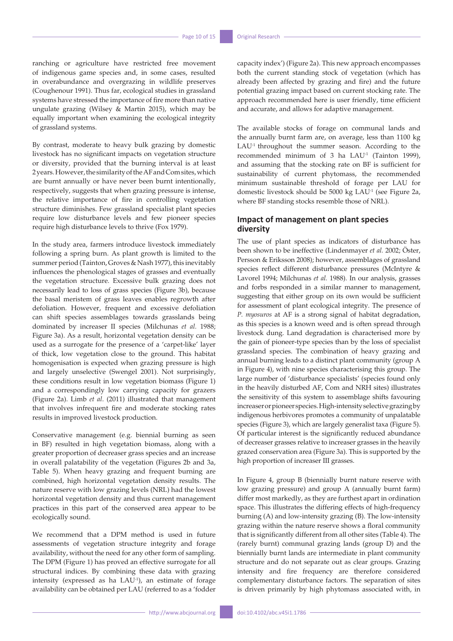ranching or agriculture have restricted free movement of indigenous game species and, in some cases, resulted in overabundance and overgrazing in wildlife preserves (Coughenour 1991). Thus far, ecological studies in grassland systems have stressed the importance of fire more than native ungulate grazing (Wilsey & Martin 2015), which may be equally important when examining the ecological integrity of grassland systems.

By contrast, moderate to heavy bulk grazing by domestic livestock has no significant impacts on vegetation structure or diversity, provided that the burning interval is at least 2 years. However, the similarity of the AF and Com sites, which are burnt annually or have never been burnt intentionally, respectively, suggests that when grazing pressure is intense, the relative importance of fire in controlling vegetation structure diminishes. Few grassland specialist plant species require low disturbance levels and few pioneer species require high disturbance levels to thrive (Fox 1979).

In the study area, farmers introduce livestock immediately following a spring burn. As plant growth is limited to the summer period (Tainton, Groves & Nash 1977), this inevitably influences the phenological stages of grasses and eventually the vegetation structure. Excessive bulk grazing does not necessarily lead to loss of grass species (Figure 3b), because the basal meristem of grass leaves enables regrowth after defoliation. However, frequent and excessive defoliation can shift species assemblages towards grasslands being dominated by increaser II species (Milchunas *et al.* 1988; Figure 3a). As a result, horizontal vegetation density can be used as a surrogate for the presence of a 'carpet-like' layer of thick, low vegetation close to the ground. This habitat homogenisation is expected when grazing pressure is high and largely unselective (Swengel 2001). Not surprisingly, these conditions result in low vegetation biomass (Figure 1) and a correspondingly low carrying capacity for grazers (Figure 2a). Limb *et al*. (2011) illustrated that management that involves infrequent fire and moderate stocking rates results in improved livestock production.

Conservative management (e.g. biennial burning as seen in BF) resulted in high vegetation biomass, along with a greater proportion of decreaser grass species and an increase in overall palatability of the vegetation (Figures 2b and 3a, Table 5). When heavy grazing and frequent burning are combined, high horizontal vegetation density results. The nature reserve with low grazing levels (NRL) had the lowest horizontal vegetation density and thus current management practices in this part of the conserved area appear to be ecologically sound.

We recommend that a DPM method is used in future assessments of vegetation structure integrity and forage availability, without the need for any other form of sampling. The DPM (Figure 1) has proved an effective surrogate for all structural indices. By combining these data with grazing intensity (expressed as ha LAU<sup>-1</sup>), an estimate of forage availability can be obtained per LAU (referred to as a 'fodder capacity index') (Figure 2a). This new approach encompasses both the current standing stock of vegetation (which has already been affected by grazing and fire) and the future potential grazing impact based on current stocking rate. The approach recommended here is user friendly, time efficient and accurate, and allows for adaptive management.

The available stocks of forage on communal lands and the annually burnt farm are, on average, less than 1100 kg LAU<sup>-1</sup> throughout the summer season. According to the recommended minimum of 3 ha LAU<sup>-1</sup> (Tainton 1999), and assuming that the stocking rate on BF is sufficient for sustainability of current phytomass, the recommended minimum sustainable threshold of forage per LAU for domestic livestock should be 5000 kg LAU-1 (see Figure 2a, where BF standing stocks resemble those of NRL).

### **Impact of management on plant species diversity**

The use of plant species as indicators of disturbance has been shown to be ineffective (Lindenmayer *et al.* 2002; Öster, Persson & Eriksson 2008); however, assemblages of grassland species reflect different disturbance pressures (McIntyre & Lavorel 1994; Milchunas *et al.* 1988). In our analysis, grasses and forbs responded in a similar manner to management, suggesting that either group on its own would be sufficient for assessment of plant ecological integrity. The presence of *P. myosuros* at AF is a strong signal of habitat degradation, as this species is a known weed and is often spread through livestock dung. Land degradation is characterised more by the gain of pioneer-type species than by the loss of specialist grassland species. The combination of heavy grazing and annual burning leads to a distinct plant community (group A in Figure 4), with nine species characterising this group. The large number of 'disturbance specialists' (species found only in the heavily disturbed AF, Com and NRH sites) illustrates the sensitivity of this system to assemblage shifts favouring increaser or pioneer species. High-intensity selective grazing by indigenous herbivores promotes a community of unpalatable species (Figure 3), which are largely generalist taxa (Figure 5). Of particular interest is the significantly reduced abundance of decreaser grasses relative to increaser grasses in the heavily grazed conservation area (Figure 3a). This is supported by the high proportion of increaser III grasses.

In Figure 4, group B (biennially burnt nature reserve with low grazing pressure) and group A (annually burnt farm) differ most markedly, as they are furthest apart in ordination space. This illustrates the differing effects of high-frequency burning (A) and low-intensity grazing (B). The low-intensity grazing within the nature reserve shows a floral community that is significantly different from all other sites (Table 4). The (rarely burnt) communal grazing lands (group D) and the biennially burnt lands are intermediate in plant community structure and do not separate out as clear groups. Grazing intensity and fire frequency are therefore considered complementary disturbance factors. The separation of sites is driven primarily by high phytomass associated with, in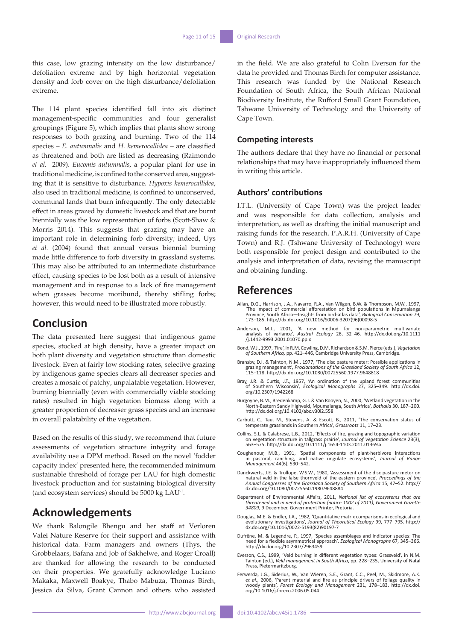this case, low grazing intensity on the low disturbance/ defoliation extreme and by high horizontal vegetation density and forb cover on the high disturbance/defoliation extreme.

The 114 plant species identified fall into six distinct management-specific communities and four generalist groupings (Figure 5), which implies that plants show strong responses to both grazing and burning. Two of the 114 species – *E. autumnalis* and *H. hemerocallidea* – are classified as threatened and both are listed as decreasing (Raimondo *et al.* 2009). *Eucomis autumnalis*, a popular plant for use in traditional medicine, is confined to the conserved area, suggesting that it is sensitive to disturbance. *Hypoxis hemerocallidea*, also used in traditional medicine, is confined to unconserved, communal lands that burn infrequently. The only detectable effect in areas grazed by domestic livestock and that are burnt biennially was the low representation of forbs (Scott-Shaw & Morris 2014). This suggests that grazing may have an important role in determining forb diversity; indeed, Uys *et al.* (2004) found that annual versus biennial burning made little difference to forb diversity in grassland systems. This may also be attributed to an intermediate disturbance effect, causing species to be lost both as a result of intensive management and in response to a lack of fire management when grasses become moribund, thereby stifling forbs; however, this would need to be illustrated more robustly.

### **Conclusion**

The data presented here suggest that indigenous game species, stocked at high density, have a greater impact on both plant diversity and vegetation structure than domestic livestock. Even at fairly low stocking rates, selective grazing by indigenous game species clears all decreaser species and creates a mosaic of patchy, unpalatable vegetation. However, burning biennially (even with commercially viable stocking rates) resulted in high vegetation biomass along with a greater proportion of decreaser grass species and an increase in overall palatability of the vegetation.

Based on the results of this study, we recommend that future assessments of vegetation structure integrity and forage availability use a DPM method. Based on the novel 'fodder capacity index' presented here, the recommended minimum sustainable threshold of forage per LAU for high domestic livestock production and for sustaining biological diversity (and ecosystem services) should be 5000 kg LAU-1.

### **Acknowledgements**

We thank Balongile Bhengu and her staff at Verloren Valei Nature Reserve for their support and assistance with historical data. Farm managers and owners (Thys, the Grobbelaars, Bafana and Job of Sakhelwe, and Roger Croall) are thanked for allowing the research to be conducted on their properties. We gratefully acknowledge Luciano Makaka, Maxwell Boakye, Thabo Mabuza, Thomas Birch, Jessica da Silva, Grant Cannon and others who assisted in the field. We are also grateful to Colin Everson for the data he provided and Thomas Birch for computer assistance. This research was funded by the National Research Foundation of South Africa, the South African National Biodiversity Institute, the Rufford Small Grant Foundation, Tshwane University of Technology and the University of Cape Town.

#### **Competing interests**

The authors declare that they have no financial or personal relationships that may have inappropriately influenced them in writing this article.

### **Authors' contributions**

I.T.L. (University of Cape Town) was the project leader and was responsible for data collection, analysis and interpretation, as well as drafting the initial manuscript and raising funds for the research. P.A.R.H. (University of Cape Town) and R.J. (Tshwane University of Technology) were both responsible for project design and contributed to the analysis and interpretation of data, revising the manuscript and obtaining funding.

## **References**

- Allan, D.G., Harrison, J.A., Navarro, R.A., Van Wilgen, B.W. & Thompson, M.W., 1997, 'The impact of commercial afforestation on bird populations in Mpumalanga Province, South Africa—Insights from bird-atlas data', *Biological Conservation* 79, 173–185. [http://dx.doi.org/10.1016/S0006-3207\(96\)00098-5](http://dx.doi.org/10.1016/S0006-3207(96)00098-5)
- Anderson, M.J., 2001, 'A new method for non-parametric multivariate analysis of variance', *Austral Ecology* 26, 32–46. [http://dx.doi.org/10.1111](http://dx.doi.org/10.1111/j.1442-9993.2001.01070.pp.x) [/j.1442-9993.2001.01070.pp.x](http://dx.doi.org/10.1111/j.1442-9993.2001.01070.pp.x)
- Bond, W.J., 1997, 'Fire', in R.M. Cowling, D.M. Richardson & S.M. Pierce (eds.), *Vegetation of Southern Africa,* pp. 421–446, Cambridge University Press, Cambridge.
- Bransby, D.I. & Tainton, N.M., 1977, 'The disc pasture meter: Possible applications in grazing management', *Proclamations of the Grassland Society of South Africa* 12, 115–118. <http://dx.doi.org/10.1080/00725560.1977.9648818>
- Bray, J.R. & Curtis, J.T., 1957, 'An ordination of the upland forest communities of Southern Wisconsin', *Ecological Monographs* 27, 325–349. [http://dx.doi.](http://dx.doi.org/10.2307/1942268) [org/10.2307/1942268](http://dx.doi.org/10.2307/1942268)
- Burgoyne, B.M., Bredenkamp, G.J. & Van Rooyen, N., 2000, 'Wetland vegetation in the North-Eastern Sandy Highveld, Mpumalanga, South Africa', *Bothalia* 30, 187–200. <http://dx.doi.org/10.4102/abc.v30i2.558>
- Carbutt, C., Tau, M., Stevens, A. & Escott, B., 2011, 'The conservation status of temperate grasslands in Southern Africa', *Grassroots* 11, 17–23.
- Collins, S.L. & Calabrese, L.B., 2012, 'Effects of fire, grazing and topographic variation on vegetation structure in tallgrass prairie', *Journal of Vegetation Science* 23(3), 563–575. <http://dx.doi.org/10.1111/j.1654-1103.2011.01369.x>
- Coughenour, M.B., 1991, 'Spatial components of plant-herbivore interactions in pastoral, ranching, and native ungulate ecosystems', *Journal of Range Management* 44(6), 530–542.
- Danckwerts, J.E. & Trollope, W.S.W., 1980, 'Assessment of the disc pasture meter on natural veld in the false thornveld of the eastern province', *Proceedings of the Annual Congresses of the Grassland Society of Southern Africa* 15, 47–52. [http://](http://dx.doi.org/10.1080/00725560.1980.9648884) [dx.doi.org/10.1080/00725560.1980.9648884](http://dx.doi.org/10.1080/00725560.1980.9648884)
- Department of Environmental Affairs, 2011, *National list of ecosystems that are threatened and in need of protection (notice 1002 of 2011), Government Gazette 34809*, 9 December, Government Printer, Pretoria.
- Douglas, M.E. & Endler, J.A., 1982, 'Quantitative matrix comparisons in ecological and evolutionary investigations', *Journal of Theoretical Ecology* 99, 777–795. [http://](http://dx.doi.org/10.1016/0022-5193(82)90197-7) [dx.doi.org/10.1016/0022-5193\(82\)90197-7](http://dx.doi.org/10.1016/0022-5193(82)90197-7)
- Dufrêne, M. & Legendre, P., 1997, 'Species assemblages and indicator species: The need for a flexible asymmetrical approach', *Ecological Monographs* 67, 345–366. <http://dx.doi.org/10.2307/2963459>
- Everson, C.S., 1999, 'Veld burning in different vegetation types: Grassveld', in N.M. Tainton (ed.), *Veld management in South Africa*, pp. 228–235, University of Natal Press, Pietermaritzburg.
- Ferwerda, J.G., Siderius, W., Van Wieren, S.E., Grant, C.C., Peel, M., Skidmore, A.K.<br>et al., 2006, 'Parent material and fire as principle drivers of foliage quality in<br>woody plants', Forest Ecology and Management 231, 178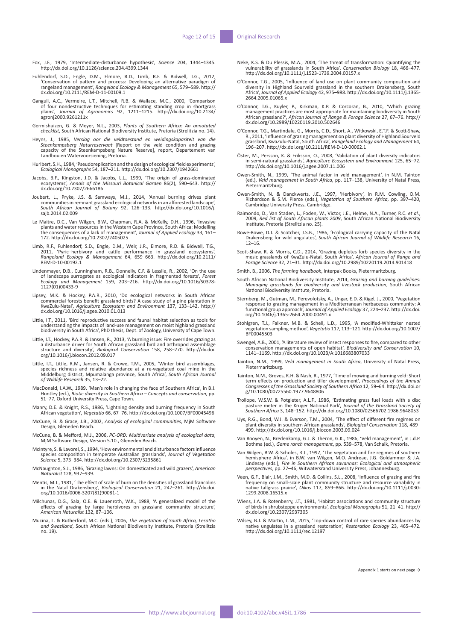- Fox, J.F., 1979, 'Intermediate-disturbance hypothesis', *Science* 204, 1344–1345. <http://dx.doi.org/10.1126/science.204.4399.1344>
- Fuhlendorf, S.D., Engle, D.M., Elmore, R.D., Limb, R.F. & Bidwell, T.G., 2012, 'Conservation of pattern and process: Developing an alternative paradigm of rangeland management', *Rangeland Ecology & Management* 65, 579–589. [http://](http://dx.doi.org/10.2111/REM-D-11-00109.1) [dx.doi.org/10.2111/REM-D-11-00109.1](http://dx.doi.org/10.2111/REM-D-11-00109.1)
- Ganguli, A.C., Vermeire, L.T., Mitchell, R.B. & Wallace, M.C., 2000, 'Comparison of four nondestructive techniques for estimating standing crop in shortgrass plains', *Journal of Agronomics* 92, 1211–1215. [http://dx.doi.org/10.2134/](http://dx.doi.org/10.2134/agronj2000.9261211x) [agronj2000.9261211x](http://dx.doi.org/10.2134/agronj2000.9261211x)
- Germishuizen, G. & Meyer, N.L., 2003, *Plants of Southern Africa: An annotated checklist*, South African National Biodiversity Institute, Pretoria (Strelitzia no. 14).
- Heyns, J., 1985, *Verslag oor die veldtoestand en weidingskapasiteit van die*<br>Steenkampsberg Naturreservaat [Report on the veld condition and grazing<br>capacity of the Steenkampsberg Nature Reserve], report, Departement van Landbou en Watervoorsiening, Pretoria.
- Hurlbert, S.H., 1984, 'Pseudoreplication and the design of ecological field experiments', *Ecological Monographs* 54, 187–211. <http://dx.doi.org/10.2307/1942661>
- Jacobs, B.F., Kingston, J.D. & Jacobs, L.L., 1999, 'The origin of grass-dominated ecosystems', *Annals of the Missouri Botanical Garden* 86(2), 590–643. [http://](http://dx.doi.org/10.2307/2666186) [dx.doi.org/10.2307/2666186](http://dx.doi.org/10.2307/2666186)
- Joubert, L., Pryke, J.S. & Samways, M.J., 2014, 'Annual burning drives plant<br>communities in remnant grassland ecological networks in an afforested landscape',<br>South African Journal of Botany 92, 126–133. http://dx.doi.org/ [sajb.2014.02.009](http://dx.doi.org/10.1016/j.sajb.2014.02.009)
- Le Maitre, D.C., Van Wilgen, B.W., Chapman, R.A. & McKelly, D.H., 1996, 'Invasive<br>plants and water resources in the Western Cape Province, South Africa: Modelling<br>the consequences of a lack of management', Journal of Appli 172. <http://dx.doi.org/10.2307/2405025>
- Limb, R.F., Fuhlendorf, S.D., Engle, D.M., Weir, J.R., Elmore, R.D. & Bidwell, T.G.,<br>2011, 'Pyric–herbivory and cattle performance in grassland ecosystems',<br>111/ Rangeland Ecology & Management 64, 659–663. http://dx.doi.or [REM-D-10-00192.1](http://dx.doi.org/10.2111/REM-D-10-00192.1)
- Lindenmayer, D.B., Cunningham, R.B., Donnelly, C.F. & Lesslie, R., 2002, 'On the use of landscape surrogates as ecological indicators in fragmented forests', *Forest Ecology and Management* 159, 203–216. [http://dx.doi.org/10.1016/S0378-](http://dx.doi.org/10.1016/S0378-1127(01)00433-9) [1127\(01\)00433-9](http://dx.doi.org/10.1016/S0378-1127(01)00433-9)
- Lipsey, M.K. & Hockey, P.A.R., 2010, 'Do ecological networks in South African<br>commercial forests benefit grassland birds? A case study of a pine plantation in<br>KwaZulu-Natal', Agriculture Ecosystem and Environment 137, 133[dx.doi.org/10.1016/j.agee.2010.01.013](http://dx.doi.org/10.1016/j.agee.2010.01.013)
- Little, I.T., 2011, 'Bird reproductive success and faunal habitat selection as tools for understanding the impacts of land-use management on moist highland grassland biodiversity in South Africa', PhD thesis, Dept. of Zoology, University of Cape Town.
- Little, I.T., Hockey, P.A.R. & Jansen, R., 2013, 'A burning issue: Fire overrides grazing as a disturbance driver for South African grassland bird and arthropod assemblage structure and diversity', *Biological Conservation* 158, 258–270. [http://dx.doi.](http://dx.doi.org/10.1016/j.biocon.2012.09.017) [org/10.1016/j.biocon.2012.09.017](http://dx.doi.org/10.1016/j.biocon.2012.09.017)
- Little, I.T., Little, R.M., Jansen, R. & Crowe, T.M., 2005, 'Winter bird assemblages, species richness and relative abundance at a re-vegetated coal mine in the Middelburg district, Mpumalanga province, South Africa', *South African Journal of Wildlife Research* 35, 13–22.
- MacDonald, I.A.W., 1989, 'Man's role in changing the face of Southern Africa', in B.J. Huntley (ed.), *Biotic diversity in Southern Africa – Concepts and conservation*, pp. 51–77, Oxford University Press, Cape Town.
- Manry, D.E. & Knight, R.S., 1986, 'Lightning density and burning frequency in South African vegetation', *Vegetatio* 66, 67–76. <http://dx.doi.org/10.1007/BF00045496>
- McCune, B. & Grace, J.B., 2002, *Analysis of ecological communities*, MjM Software Design, Gleneden Beach.
- McCune, B. & Mefford, M.J., 2006, *PC-ORD: Multivariate analysis of ecological data*, MjM Software Design, Version 5.10., Gleneden Beach.
- McIntyre, S. & Lavorel, S., 1994, 'How environmental and disturbance factors influence species composition in temperate Australian grasslands', *Journal of Vegetation Science* 5, 373–384. <http://dx.doi.org/10.2307/3235861>
- McNaughton, S.J., 1986, 'Grazing lawns: On domesticated and wild grazers', *American Naturalist* 128, 937–939.
- Mentis, M.T., 1981, 'The effect of scale of burn on the densities of grassland francolins in the Natal Drakensberg', *Biological Conservation* 21, 247–261. [http://dx.doi.](http://dx.doi.org/10.1016/0006-3207(81)90081-1) [org/10.1016/0006-3207\(81\)90081-1](http://dx.doi.org/10.1016/0006-3207(81)90081-1)
- Milchunas, D.G., Sala, O.E. & Lauenroth, W.K., 1988, 'A generalized model of the effects of grazing by large herbivores on grassland community structure', *American Naturalist* 132, 87–106.
- Mucina, L. & Rutherford, M.C. (eds.), 2006, *The vegetation of South Africa, Lesotho and Swaziland*, South African National Biodiversity Institute, Pretoria (Strelitzia no. 19).
- Neke, K.S. & Du Plessis, M.A., 2004, 'The threat of transformation: Quantifying the vulnerability of grasslands in South Africa', *Conservation Biology* 18, 466–477. <http://dx.doi.org/10.1111/j.1523-1739.2004.00157.x>
- O'Connor, T.G., 2005, 'Influence of land use on plant community composition and<br>diversity in Highland Sourveld grassland in the southern Drakensberg, South<br>Africa', Journal of Applied Ecology 42, 975–988. http://dx.doi.org [2664.2005.01065.x](http://dx.doi.org/10.1111/j.1365-2664.2005.01065.x)
- O'Connor, T.G., Kuyler, P., Kirkman, K.P. & Corcoran, B., 2010, 'Which grazing<br>management practices are most appropriate for maintaining biodiversity in South<br>African grassland?', African Journal of Range & Forage Science [dx.doi.org/10.2989/10220119.2010.502646](http://dx.doi.org/10.2989/10220119.2010.502646)
- O'Connor, T.G., Martindale, G., Morris, C.D., Short, A., Witkowski, E.T.F. & Scott-Shaw,<br>R., 2011, 'Influence of grazing management on plant diversity of Highland Sourveld<br>grassland, KwaZulu-Natal, South Africa', *Rangelan* 196–207. <http://dx.doi.org/10.2111/REM-D-10-00062.1>
- Öster, M., Persson, K. & Eriksson, O., 2008, 'Validation of plant diversity indicators in semi-natural grasslands', *Agriculture Ecosystem and Environment* 125, 65–72. <http://dx.doi.org/10.1016/j.agee.2007.11.006>
- Owen-Smith, N., 1999, 'The animal factor in veld management', in N.M. Tainton (ed.), *Veld management in South Africa*, pp. 117–138, University of Natal Press, Pietermaritzburg.
- Owen-Smith, N. & Danckwerts, J.E., 1997, 'Herbivory', in R.M. Cowling, D.M. Richardson & S.M. Pierce (eds.), *Vegetation of Southern Africa*, pp. 397–420, Cambridge University Press, Cambridge.
- Raimondo, D., Van Staden, L., Foden, W., Victor, J.E., Helme, N.A., Turner, R.C. et al., 2009, Red list of South African plants 2009, South African National Biodiversity Institute, Pretoria (Strelitzia no. 25).
- Rowe-Rowe, D.T. & Scotcher, J.S.B., 1986, 'Ecological carrying capacity of the Natal Drakensberg for wild ungulates', *South African Journal of Wildlife Research* 16, 12–16.
- Scott-Shaw, R. & Morris, C.D., 2014, 'Grazing depletes forb species diversity in the mesic grasslands of KwaZulu-Natal, South Africa', *African Journal of Range and Forage Science* 32, 21–31. <http://dx.doi.org/10.2989/10220119.2014.901418>
- Smith, B., 2006, *The farming handbook*, Interpak Books, Pietermaritzburg.
- South African National Biodiversity Institute, 2014, *Grazing and burning guidelines: Managing grasslands for biodiversity and livestock production*, South African National Biodiversity Institute, Pretoria.
- Sternberg, M., Gutman, M., Perevolotsky, A., Ungar, E.D. & Kigel, J., 2000, 'Vegetation<br>response to grazing management in a Mediterranean herbaceous community: A<br>functional group approach', Journal of Applied Ecology 37, 2
- Stohlgren, T.J., Falkner, M.B. & Schell, L.D., 1995, 'A modified-Whittaker nested vegetation sampling method', *Vegetatio* 117, 113–121. [http://dx.doi.org/10.1007/](http://dx.doi.org/10.1007/BF00045503) [BF00045503](http://dx.doi.org/10.1007/BF00045503)
- Swengel, A.B., 2001, 'A literature review of insect responses to fire, compared to other conservation managements of open habitat', *Biodiversity and Conservation* 10, 1141–1169.<http://dx.doi.org/10.1023/A:1016683807033>
- Tainton, N.M., 1999, *Veld management in South Africa*, University of Natal Press, Pietermaritzburg.
- Tainton, N.M., Groves, R.H. & Nash, R., 1977, 'Time of mowing and burning veld: Short term effects on production and tiller development', *Proceedings of the Annual Congresses of the Grassland Society of Southern Africa* 12, 59–64. [http://dx.doi.or](http://dx.doi.org/10.1080/00725560.1977.9648806) [g/10.1080/00725560.1977.9648806](http://dx.doi.org/10.1080/00725560.1977.9648806)
- Trollope, W.S.W. & Potgieter, A.L.F., 1986, 'Estimating grass fuel loads with a disc<br>pasture meter in the Kruger National Park', Journal of the Grassland Society of<br>Southern Africa 3, 148–152. http://dx.doi.org/10.1080/025
- Uys, R.G., Bond, W.J. & Everson, T.M., 2004, 'The effect of different fire regimes on plant diversity in southern African grasslands', *Biological Conservation* 118, 489– 499. <http://dx.doi.org/10.1016/j.biocon.2003.09.024>
- Van Rooyen, N., Bredenkamp, G.J. & Theron, G.K., 1986, 'Veld management', in J.d.P. Bothma (ed.), *Game ranch management*, pp. 539–578, Van Schaik, Pretoria.
- Van Wilgen, B.W. & Scholes, R.J., 1997, 'The vegetation and fire regimes of southern<br>hemisphere Africa', in B.W. van Wilgen, M.O. Andreae, J.G. Goldammer & J.A.<br>Lindesay (eds.), *Fire in Southern African savannas: Ecologic perspectives*, pp. 27–46, Witwatersrand University Press, Johannesburg.
- Veen, G.F., Blair, J.M., Smith, M.D. & Collins, S.L., 2008, 'Influence of grazing and fire frequency on small-scale plant community structure and resource variability in native tallgrass prairie', *Oikos* 117, 859–866. [http://dx.doi.org/10.1111/j.0030-](http://dx.doi.org/10.1111/j.0030-1299.2008.16515.x) [1299.2008.16515.x](http://dx.doi.org/10.1111/j.0030-1299.2008.16515.x)
- Wiens, J.A. & Rotenberry, J.T., 1981, 'Habitat associations and community structure of birds in shrubsteppe environments', *Ecological Monographs* 51, 21–41. [http://](http://dx.doi.org/10.2307/2937305) [dx.doi.org/10.2307/2937305](http://dx.doi.org/10.2307/2937305)
- Wilsey, B.J. & Martin, L.M., 2015, 'Top-down control of rare species abundances by<br>native ungulates in a grassland restoration', *Restoration Ecology* 23, 465–472.<br>[http://dx.doi.org/10.1111/rec.12197](%20http:/dx.doi.org/10.1111/rec.12197)

Appendix 1 starts on next page  $\rightarrow$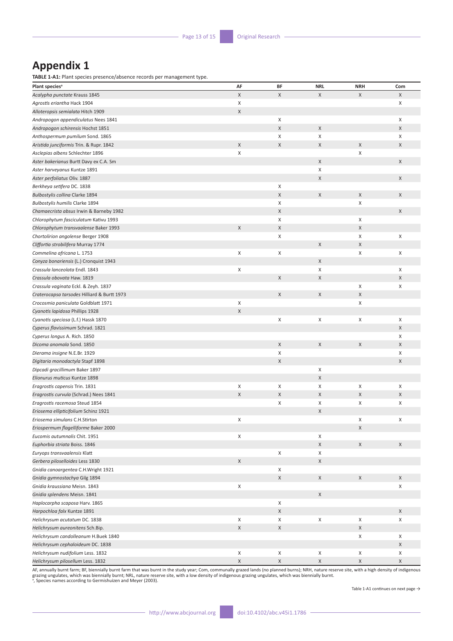# **Appendix 1**

**TABLE 1-A1:** Plant species presence/absence records per management type.

| Plant species <sup>a</sup>                  | AF          | BF          | <b>NRL</b>  | <b>NRH</b> | Com         |
|---------------------------------------------|-------------|-------------|-------------|------------|-------------|
| Acalypha punctate Krauss 1845               | X           | X           | X           | X          | X           |
| Agrostis eriantha Hack 1904                 | X           |             |             |            | X           |
| Alloteropsis semialata Hitch 1909           | X           |             |             |            |             |
| Andropogon appendiculatus Nees 1841         |             | X           |             |            | X           |
| Andropogon schirensis Hochst 1851           |             | X           | X           |            | X           |
| Anthospermum pumilum Sond. 1865             |             | X           | X           |            | X           |
| Aristida junciformis Trin. & Rupr. 1842     | X           | X           | X           | X          | X           |
| Asclepias albens Schlechter 1896            | X           |             |             | X          |             |
| Aster bakerianus Burtt Davy ex C.A. Sm      |             |             | X           |            | X           |
| Aster harveyanus Kuntze 1891                |             |             | X           |            |             |
| Aster perfoliatus Oliv. 1887                |             |             | X           |            | X           |
| Berkheya setifera DC. 1838                  |             | X           |             |            |             |
| Bulbostylis collina Clarke 1894             |             | $\mathsf X$ | X           | X          | X           |
| Bulbostylis humilis Clarke 1894             |             | X           |             | X          |             |
| Chamaecrista absus Irwin & Barneby 1982     |             | X           |             |            | X           |
| Chlorophytum fasciculatum Kativu 1993       |             | X           |             | X          |             |
| Chlorophytum transvaalense Baker 1993       | X           | X           |             | X          |             |
| Chortolirion angolense Berger 1908          |             | X           |             | X          | X           |
| Cliffortia strobilifera Murray 1774         |             |             | X           | X          |             |
| Commelina africana L. 1753                  | X           | X           |             | X          | X           |
| Conyza bonariensis (L.) Cronquist 1943      |             |             | X           |            |             |
| Crassula lanceolata Endl. 1843              | X           |             | X           |            | X           |
| Crassula obovata Haw. 1819                  |             | X           | X           |            | X           |
| Crassula vaginata Eckl. & Zeyh. 1837        |             |             |             | X          | X           |
| Craterocapsa tarsodes Hilliard & Burtt 1973 |             | X           | X           | X          |             |
| Crocosmia paniculata Goldblatt 1971         | X           |             |             | X          |             |
| Cyanotis lapidosa Phillips 1928             | $\mathsf X$ |             |             |            |             |
| Cyanotis speciosa (L.f.) Hassk 1870         |             | X           | X           | X          | X           |
| Cyperus flavissimum Schrad. 1821            |             |             |             |            | X           |
| Cyperus longus A. Rich. 1850                |             |             |             |            | X           |
| Dicoma anomala Sond. 1850                   |             | X           | X           | X          | $\mathsf X$ |
| Dierama insigne N.E.Br. 1929                |             | X           |             |            | Χ           |
| Digitaria monodactyla Stapf 1898            |             | X           |             |            | X           |
| Dipcadi gracillimum Baker 1897              |             |             | X           |            |             |
| Elionurus muticus Kuntze 1898               |             |             | X           |            |             |
| Eragrostis capensis Trin. 1831              | X           | X           | X           | X          | X           |
| Eragrostis curvula (Schrad.) Nees 1841      | $\mathsf X$ | X           | X           | X          | X           |
| Eragrostis racemosa Steud 1854              |             | X           | X           | X          | Χ           |
| Eriosema ellipticifolium Schinz 1921        |             |             | X           |            |             |
| Eriosema simulans C.H.Stirton               | X           |             |             | X          | X           |
| Eriospermum flagelliforme Baker 2000        |             |             |             | X          |             |
| Eucomis autumnalis Chit. 1951               | X           |             | X           |            |             |
| Euphorbia striata Boiss. 1846               |             |             | $\mathsf X$ | X          | X           |
| Euryops transvaalensis Klatt                |             | X           | X           |            |             |
| Gerbera piloselloides Less 1830             | X           |             | X           |            |             |
| Gnidia canoargentea C.H.Wright 1921         |             | X           |             |            |             |
| Gnidia gymnostachya Gilg 1894               |             | $\mathsf X$ | X           | X          | X           |
| Gnidia kraussiana Meisn. 1843               | X           |             |             |            | X           |
| Gnidia splendens Meisn. 1841                |             |             | X           |            |             |
| Haplocarpha scaposa Harv. 1865              |             | X           |             |            |             |
| Harpochloa falx Kuntze 1891                 |             | X           |             |            | X           |
| Helichrysum acutatum DC. 1838               | X           | X           | X           | X          | X           |
| Helichrysum aureonitens Sch.Bip.            | $\mathsf X$ | X           |             | X          |             |
| Helichrysum candolleanum H.Buek 1840        |             |             |             | X          | X           |
| Helichrysum cephaloideum DC. 1838           |             |             |             |            | $\mathsf X$ |
| Helichrysum nudifolium Less. 1832           | X           | X           | X           | X          | X           |
| Helichrysum pilosellum Less. 1832           | $\mathsf X$ | $\mathsf X$ | $\mathsf X$ | X          | X           |

AF, annually burnt farm; BF, biennially burnt farm that was burnt in the study year; Com, communally grazed lands (no planned burns); NRH, nature reserve site, with a high density of indigenous<br>grazing ungulates, which was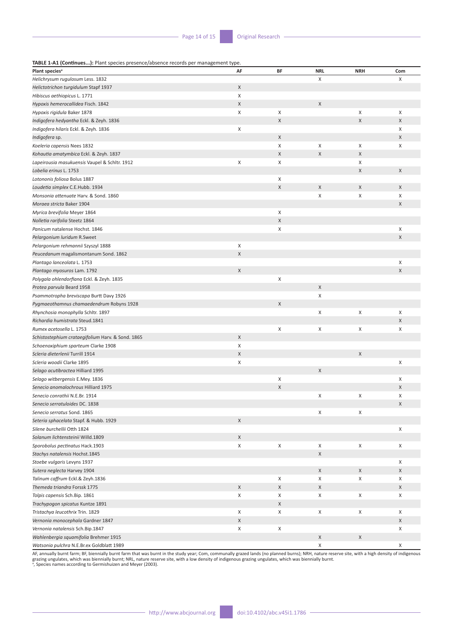**TABLE 1-A1 (Continues...):** Plant species presence/absence records per management type.

| <b>INDLE I'MI (CONTINUES…).</b> Frant species presente/absence records per management type.<br>Plant species <sup>a</sup> | AF               | BF                        | <b>NRL</b>  | <b>NRH</b>  | Com    |
|---------------------------------------------------------------------------------------------------------------------------|------------------|---------------------------|-------------|-------------|--------|
| Helichrysum rugulosum Less. 1832                                                                                          |                  |                           | X           |             | X      |
| Helictotrichon turgidulum Stapf 1937                                                                                      | X                |                           |             |             |        |
| Hibiscus aethiopicus L. 1771                                                                                              | X                |                           |             |             |        |
| Hypoxis hemerocallidea Fisch. 1842                                                                                        | X                |                           | X           |             |        |
| Hypoxis rigidula Baker 1878                                                                                               | X                | X                         |             | X           | X      |
| Indigofera hedyantha Eckl. & Zeyh. 1836                                                                                   |                  | $\sf X$                   |             | $\mathsf X$ | X      |
| Indigofera hilaris Eckl. & Zeyh. 1836                                                                                     | X                |                           |             |             | X      |
| Indigofera sp.                                                                                                            |                  | $\mathsf X$               |             |             | X      |
| Koeleria capensis Nees 1832                                                                                               |                  | X                         | Χ           | X           | X      |
| Kohautia amatymbica Eckl. & Zeyh. 1837                                                                                    |                  | $\boldsymbol{\mathsf{X}}$ | $\mathsf X$ | X           |        |
| Lapeirousia masukuensis Vaupel & Schltr. 1912                                                                             | X                | X                         |             | X           |        |
| Lobelia erinus L. 1753                                                                                                    |                  |                           |             | X           | X      |
| Lotononis foliosa Bolus 1887                                                                                              |                  | X                         |             |             |        |
| Loudetia simplex C.E.Hubb. 1934                                                                                           |                  | $\mathsf X$               | X           | X           | X      |
| Monsonia attenuate Harv. & Sond. 1860                                                                                     |                  |                           | X           | X           | X      |
| Moraea stricta Baker 1904                                                                                                 |                  |                           |             |             | X      |
|                                                                                                                           |                  | X                         |             |             |        |
| Myrica brevifolia Meyer 1864                                                                                              |                  | $\sf X$                   |             |             |        |
| Nolletia rarifolia Steetz 1864                                                                                            |                  | X                         |             |             |        |
| Panicum natalense Hochst. 1846<br>Pelargonium luridum R.Sweet                                                             |                  |                           |             |             | X<br>X |
|                                                                                                                           |                  |                           |             |             |        |
| Pelargonium rehmannii Szyszyl 1888                                                                                        | Χ<br>$\mathsf X$ |                           |             |             |        |
| Peucedanum magalismontanum Sond. 1862                                                                                     |                  |                           |             |             |        |
| Plantago lanceolata L. 1753                                                                                               |                  |                           |             |             | X      |
| Plantago myosuros Lam. 1792                                                                                               | X                | X                         |             |             | X      |
| Polygala ohlendorfiana Eckl. & Zeyh. 1835                                                                                 |                  |                           |             |             |        |
| Protea parvula Beard 1958                                                                                                 |                  |                           | X<br>X      |             |        |
| Psammotropha breviscapa Burtt Davy 1926                                                                                   |                  | $\mathsf X$               |             |             |        |
| Pygmaeothamnus chamaedendrum Robyns 1928                                                                                  |                  |                           |             |             |        |
| Rhynchosia monophylla Schltr. 1897                                                                                        |                  |                           | X           | X           | X      |
| Richardia humistrata Steud.1841<br>Rumex acetosella L. 1753                                                               |                  | X                         | X           | X           | X      |
|                                                                                                                           | $\mathsf{X}$     |                           |             |             | X      |
| Schistostephium crataegifolium Harv. & Sond. 1865                                                                         | X                |                           |             |             |        |
| Schoenoxiphium sparteum Clarke 1908                                                                                       |                  |                           |             |             |        |
| Scleria dieterlenii Turrill 1914<br>Scleria woodii Clarke 1895                                                            | $\mathsf X$      |                           |             | X           | X      |
| Selago acutibractea Hilliard 1995                                                                                         | X                |                           | X           |             |        |
| Selago witbergensis E.Mey. 1836                                                                                           |                  | Χ                         |             |             | X      |
| Senecio anomalochrous Hilliard 1975                                                                                       |                  | $\mathsf X$               |             |             | X      |
|                                                                                                                           |                  |                           | X           | X           | X      |
| Senecio conrathii N.E.Br. 1914<br>Senecio serratuloides DC. 1838                                                          |                  |                           |             |             | X      |
|                                                                                                                           |                  |                           | X           | X           |        |
| Senecio serratus Sond. 1865                                                                                               | $\times$         |                           |             |             |        |
| Seteria sphacelata Stapf. & Hubb. 1929<br>Silene burchellii Otth 1824                                                     |                  |                           |             |             | X      |
| Solanum lichtensteinii Willd.1809                                                                                         | X                |                           |             |             |        |
|                                                                                                                           | X                | X                         | X           | X           | X      |
| Sporobolus pectinatus Hack.1903<br>Stachys natalensis Hochst.1845                                                         |                  |                           | $\mathsf X$ |             |        |
|                                                                                                                           |                  |                           |             |             | X      |
| Stoebe vulgaris Levyns 1937                                                                                               |                  |                           | X           | X           | X      |
| Sutera neglecta Harvey 1904<br>Talinum caffrum Eckl.& Zeyh.1836                                                           |                  | X                         | X           | X           | X      |
|                                                                                                                           |                  |                           |             |             |        |
| Themeda triandra Forssk 1775                                                                                              | X                | $\mathsf X$               | X           |             | X      |
| Tolpis capensis Sch.Bip. 1861                                                                                             | Χ                | X<br>X                    | X           | X           | X      |
| Trachypogon spicatus Kuntze 1891                                                                                          |                  |                           |             | X           |        |
| Tristachya leucothrix Trin. 1829                                                                                          | X                | X                         | X           |             | X      |
| Vernonia monocephala Gardner 1847                                                                                         | X                |                           |             |             | X      |
| Vernonia natalensis Sch.Bip.1847                                                                                          | X                | X                         |             |             | X      |
| Wahlenbergia squamifolia Brehmer 1915                                                                                     |                  |                           | X           | $\mathsf X$ |        |
| Watsonia pulchra N.E.Br.ex Goldblatt 1989                                                                                 |                  |                           | X           |             | X      |

AF, annually burnt farm; BF, biennially burnt farm that was burnt in the study year; Com, communally grazed lands (no planned burns); NRH, nature reserve site, with a high density of indigenous<br>grazing ungulates, which wa